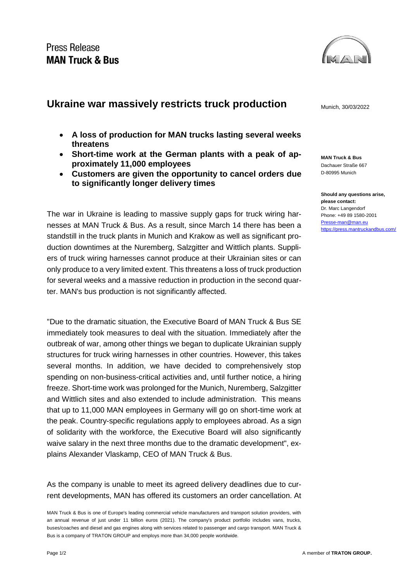

## **Ukraine war massively restricts truck production** Munich, 30/03/2022

- **A loss of production for MAN trucks lasting several weeks threatens**
- **Short-time work at the German plants with a peak of approximately 11,000 employees**
- **Customers are given the opportunity to cancel orders due to significantly longer delivery times**

The war in Ukraine is leading to massive supply gaps for truck wiring harnesses at MAN Truck & Bus. As a result, since March 14 there has been a standstill in the truck plants in Munich and Krakow as well as significant production downtimes at the Nuremberg, Salzgitter and Wittlich plants. Suppliers of truck wiring harnesses cannot produce at their Ukrainian sites or can only produce to a very limited extent. This threatens a loss of truck production for several weeks and a massive reduction in production in the second quarter. MAN's bus production is not significantly affected.

"Due to the dramatic situation, the Executive Board of MAN Truck & Bus SE immediately took measures to deal with the situation. Immediately after the outbreak of war, among other things we began to duplicate Ukrainian supply structures for truck wiring harnesses in other countries. However, this takes several months. In addition, we have decided to comprehensively stop spending on non-business-critical activities and, until further notice, a hiring freeze. Short-time work was prolonged for the Munich, Nuremberg, Salzgitter and Wittlich sites and also extended to include administration. This means that up to 11,000 MAN employees in Germany will go on short-time work at the peak. Country-specific regulations apply to employees abroad. As a sign of solidarity with the workforce, the Executive Board will also significantly waive salary in the next three months due to the dramatic development", explains Alexander Vlaskamp, CEO of MAN Truck & Bus.

As the company is unable to meet its agreed delivery deadlines due to current developments, MAN has offered its customers an order cancellation. At

**MAN Truck & Bus** Dachauer Straße 667 D-80995 Munich

**Should any questions arise, please contact:** Dr. Marc Langendorf Phone: +49 89 1580-2001 [Presse-man@man.eu](mailto:Presse-man@man.eu) <https://press.mantruckandbus.com/>

MAN Truck & Bus is one of Europe's leading commercial vehicle manufacturers and transport solution providers, with an annual revenue of just under 11 billion euros (2021). The company's product portfolio includes vans, trucks, buses/coaches and diesel and gas engines along with services related to passenger and cargo transport. MAN Truck & Bus is a company of TRATON GROUP and employs more than 34,000 people worldwide.